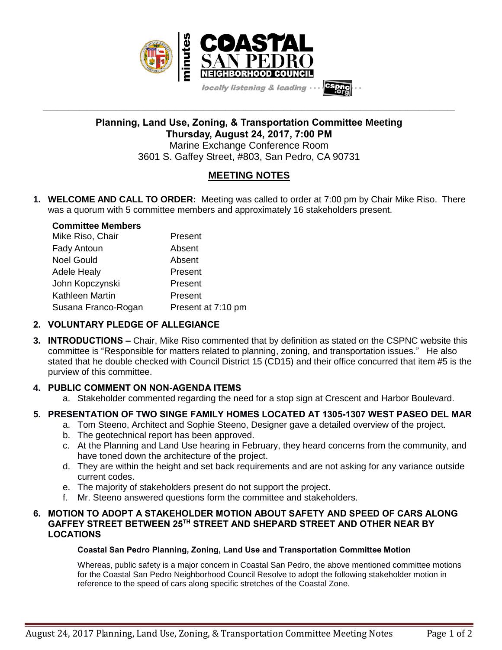

**Planning, Land Use, Zoning, & Transportation Committee Meeting Thursday, August 24, 2017, 7:00 PM** Marine Exchange Conference Room 3601 S. Gaffey Street, #803, San Pedro, CA 90731

**\_\_\_\_\_\_\_\_\_\_\_\_\_\_\_\_\_\_\_\_\_\_\_\_\_\_\_\_\_\_\_\_\_\_\_\_\_\_\_\_\_\_\_\_\_\_\_\_\_\_\_\_\_\_\_\_\_\_\_\_\_\_\_\_\_\_\_\_\_\_\_\_\_\_\_\_\_\_\_\_\_\_\_\_\_\_\_\_\_\_\_\_\_\_\_\_\_\_\_\_\_\_\_\_\_\_\_\_\_\_\_\_\_**

# **MEETING NOTES**

**1. WELCOME AND CALL TO ORDER:** Meeting was called to order at 7:00 pm by Chair Mike Riso. There was a quorum with 5 committee members and approximately 16 stakeholders present.

## **Committee Members** Mike Riso, Chair **Present** Fady Antoun **Absent** Noel Gould **Absent** Adele Healy **Present** John Kopczynski Present Kathleen Martin **Present**

Susana Franco-Rogan Present at 7:10 pm

### **2. VOLUNTARY PLEDGE OF ALLEGIANCE**

**3. INTRODUCTIONS –** Chair, Mike Riso commented that by definition as stated on the CSPNC website this committee is "Responsible for matters related to planning, zoning, and transportation issues." He also stated that he double checked with Council District 15 (CD15) and their office concurred that item #5 is the purview of this committee.

### **4. PUBLIC COMMENT ON NON-AGENDA ITEMS**

a. Stakeholder commented regarding the need for a stop sign at Crescent and Harbor Boulevard.

### **5. PRESENTATION OF TWO SINGE FAMILY HOMES LOCATED AT 1305-1307 WEST PASEO DEL MAR**

- a. Tom Steeno, Architect and Sophie Steeno, Designer gave a detailed overview of the project.
- b. The geotechnical report has been approved.
- c. At the Planning and Land Use hearing in February, they heard concerns from the community, and have toned down the architecture of the project.
- d. They are within the height and set back requirements and are not asking for any variance outside current codes.
- e. The majority of stakeholders present do not support the project.
- f. Mr. Steeno answered questions form the committee and stakeholders.

#### **6. MOTION TO ADOPT A STAKEHOLDER MOTION ABOUT SAFETY AND SPEED OF CARS ALONG GAFFEY STREET BETWEEN 25TH STREET AND SHEPARD STREET AND OTHER NEAR BY LOCATIONS**

#### **Coastal San Pedro Planning, Zoning, Land Use and Transportation Committee Motion**

Whereas, public safety is a major concern in Coastal San Pedro, the above mentioned committee motions for the Coastal San Pedro Neighborhood Council Resolve to adopt the following stakeholder motion in reference to the speed of cars along specific stretches of the Coastal Zone.